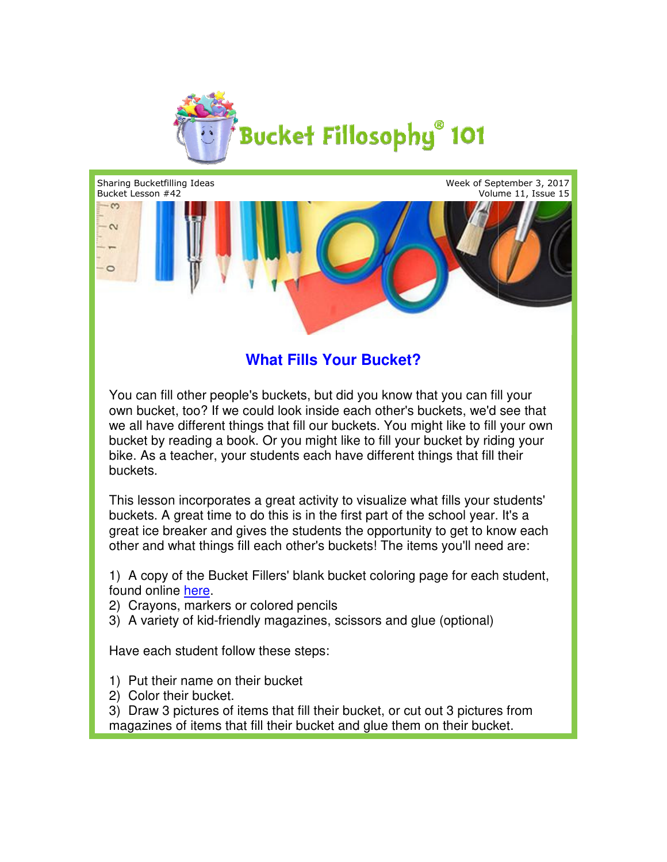

Week of September 3, 2017 Volume 11, Issue 15



## **What Fills Your Bucket?**

You can fill other people's buckets, but did you know that you can fill your own bucket, too? If we could look inside each other's buckets, we'd see that You can fill other people's buckets, but did you know that you can fill your<br>own bucket, too? If we could look inside each other's buckets, we'd see that<br>we all have different things that fill our buckets. You might like t bucket by reading a book. Or you might like to fill your bucket by riding your bike. As a teacher, your students each have different things that fill their buckets. bucket by reading a book. Or you might like to fill your bucket by riding your<br>bike. As a teacher, your students each have different things that fill their<br>buckets.<br>This lesson incorporates a great activity to visualize wh

buckets. A great time to do this is in the first part of the school year. It's a great ice breaker and gives the students the opportunity to get to know each great ice breaker and gives the students the opportunity to get to know ea<br>other and what things fill each other's buckets! The items you'll need are:

1) A copy of the Bucket Fillers' blank bucket coloring page for each student, found online here. 1) A copy of the Bucket Fillers' blank bucket coloring page for eacl<br>found online <u>here</u>.<br>2) Crayons, markers or colored pencils<br>3) A variety of kid-friendly magazines, scissors and glue (optional)

- 2) Crayons, markers or colored pencils
- 

Have each student follow these steps:

- 1) Put their name on their bucket
- 2) Color their bucket.

Sharing Bucketfilling Ideas

3) Draw 3 pictures of items that fill their bucket, or cut out 3 pictures from magazines of items that fill their bucket and glue them on their bucket.